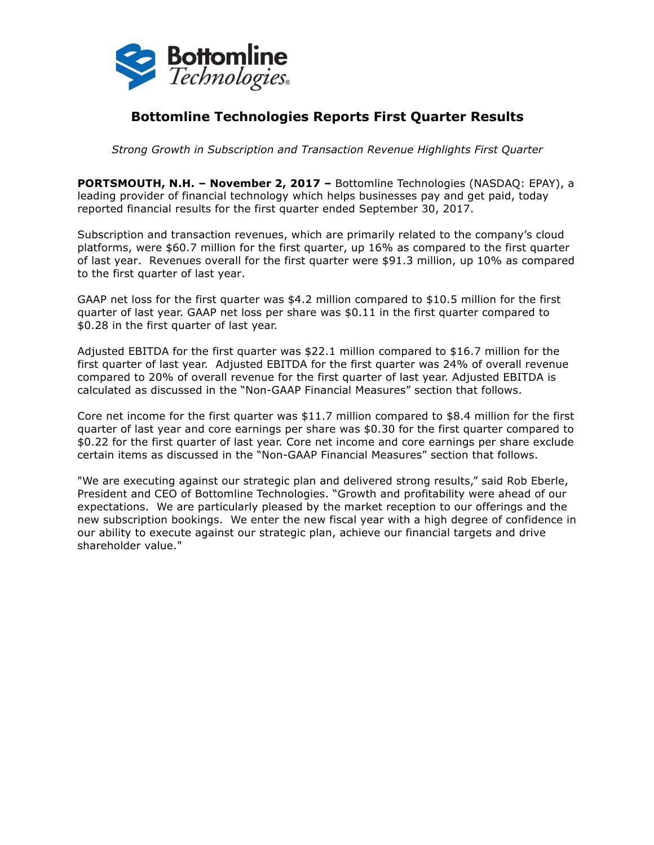

# **Bottomline Technologies Reports First Quarter Results**

*Strong Growth in Subscription and Transaction Revenue Highlights First Quarter*

**PORTSMOUTH, N.H. – November 2, 2017 –** Bottomline Technologies (NASDAQ: EPAY), a leading provider of financial technology which helps businesses pay and get paid, today reported financial results for the first quarter ended September 30, 2017.

Subscription and transaction revenues, which are primarily related to the company's cloud platforms, were \$60.7 million for the first quarter, up 16% as compared to the first quarter of last year. Revenues overall for the first quarter were \$91.3 million, up 10% as compared to the first quarter of last year.

GAAP net loss for the first quarter was \$4.2 million compared to \$10.5 million for the first quarter of last year. GAAP net loss per share was \$0.11 in the first quarter compared to \$0.28 in the first quarter of last year.

Adjusted EBITDA for the first quarter was \$22.1 million compared to \$16.7 million for the first quarter of last year. Adjusted EBITDA for the first quarter was 24% of overall revenue compared to 20% of overall revenue for the first quarter of last year. Adjusted EBITDA is calculated as discussed in the "Non-GAAP Financial Measures" section that follows.

Core net income for the first quarter was \$11.7 million compared to \$8.4 million for the first quarter of last year and core earnings per share was \$0.30 for the first quarter compared to \$0.22 for the first quarter of last year. Core net income and core earnings per share exclude certain items as discussed in the "Non-GAAP Financial Measures" section that follows.

"We are executing against our strategic plan and delivered strong results," said Rob Eberle, President and CEO of Bottomline Technologies. "Growth and profitability were ahead of our expectations. We are particularly pleased by the market reception to our offerings and the new subscription bookings. We enter the new fiscal year with a high degree of confidence in our ability to execute against our strategic plan, achieve our financial targets and drive shareholder value."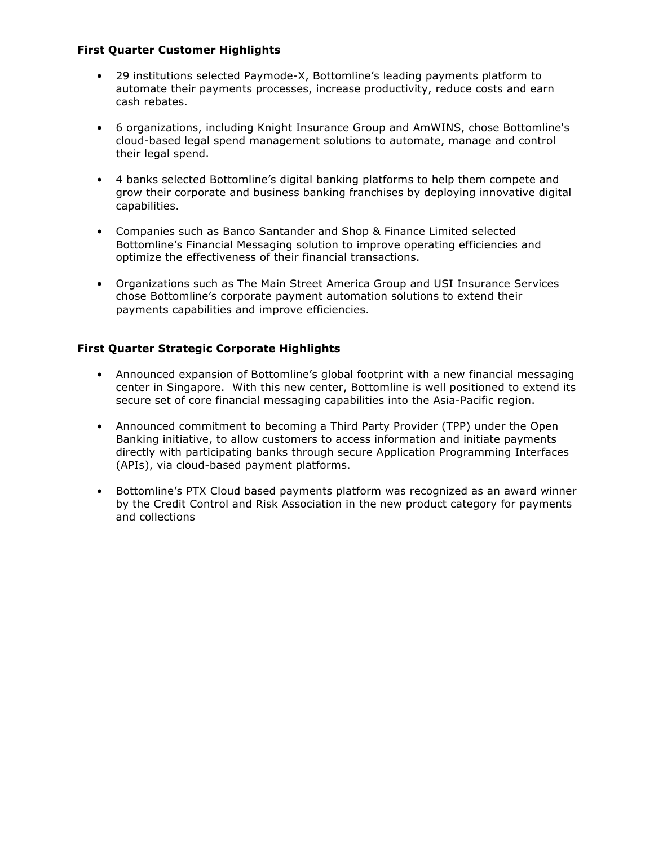### **First Quarter Customer Highlights**

- 29 institutions selected Paymode-X, Bottomline's leading payments platform to automate their payments processes, increase productivity, reduce costs and earn cash rebates.
- 6 organizations, including Knight Insurance Group and AmWINS, chose Bottomline's cloud-based legal spend management solutions to automate, manage and control their legal spend.
- 4 banks selected Bottomline's digital banking platforms to help them compete and grow their corporate and business banking franchises by deploying innovative digital capabilities.
- Companies such as Banco Santander and Shop & Finance Limited selected Bottomline's Financial Messaging solution to improve operating efficiencies and optimize the effectiveness of their financial transactions.
- Organizations such as The Main Street America Group and USI Insurance Services chose Bottomline's corporate payment automation solutions to extend their payments capabilities and improve efficiencies.

### **First Quarter Strategic Corporate Highlights**

- Announced expansion of Bottomline's global footprint with a new financial messaging center in Singapore. With this new center, Bottomline is well positioned to extend its secure set of core financial messaging capabilities into the Asia-Pacific region.
- Announced commitment to becoming a Third Party Provider (TPP) under the Open Banking initiative, to allow customers to access information and initiate payments directly with participating banks through secure Application Programming Interfaces (APIs), via cloud-based payment platforms.
- Bottomline's PTX Cloud based payments platform was recognized as an award winner by the Credit Control and Risk Association in the new product category for payments and collections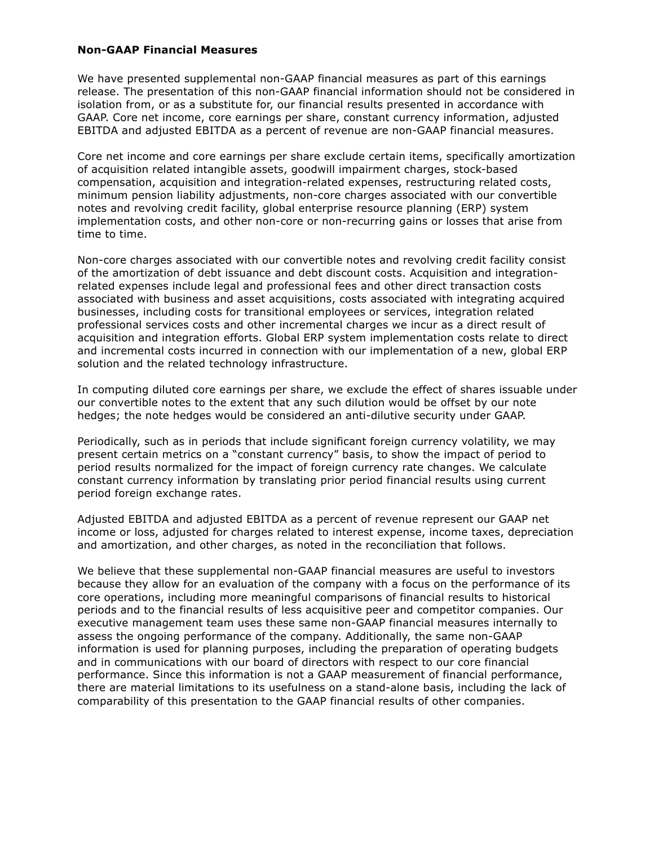#### **Non-GAAP Financial Measures**

We have presented supplemental non-GAAP financial measures as part of this earnings release. The presentation of this non-GAAP financial information should not be considered in isolation from, or as a substitute for, our financial results presented in accordance with GAAP. Core net income, core earnings per share, constant currency information, adjusted EBITDA and adjusted EBITDA as a percent of revenue are non-GAAP financial measures.

Core net income and core earnings per share exclude certain items, specifically amortization of acquisition related intangible assets, goodwill impairment charges, stock-based compensation, acquisition and integration-related expenses, restructuring related costs, minimum pension liability adjustments, non-core charges associated with our convertible notes and revolving credit facility, global enterprise resource planning (ERP) system implementation costs, and other non-core or non-recurring gains or losses that arise from time to time.

Non-core charges associated with our convertible notes and revolving credit facility consist of the amortization of debt issuance and debt discount costs. Acquisition and integrationrelated expenses include legal and professional fees and other direct transaction costs associated with business and asset acquisitions, costs associated with integrating acquired businesses, including costs for transitional employees or services, integration related professional services costs and other incremental charges we incur as a direct result of acquisition and integration efforts. Global ERP system implementation costs relate to direct and incremental costs incurred in connection with our implementation of a new, global ERP solution and the related technology infrastructure.

In computing diluted core earnings per share, we exclude the effect of shares issuable under our convertible notes to the extent that any such dilution would be offset by our note hedges; the note hedges would be considered an anti-dilutive security under GAAP.

Periodically, such as in periods that include significant foreign currency volatility, we may present certain metrics on a "constant currency" basis, to show the impact of period to period results normalized for the impact of foreign currency rate changes. We calculate constant currency information by translating prior period financial results using current period foreign exchange rates.

Adjusted EBITDA and adjusted EBITDA as a percent of revenue represent our GAAP net income or loss, adjusted for charges related to interest expense, income taxes, depreciation and amortization, and other charges, as noted in the reconciliation that follows.

We believe that these supplemental non-GAAP financial measures are useful to investors because they allow for an evaluation of the company with a focus on the performance of its core operations, including more meaningful comparisons of financial results to historical periods and to the financial results of less acquisitive peer and competitor companies. Our executive management team uses these same non-GAAP financial measures internally to assess the ongoing performance of the company. Additionally, the same non-GAAP information is used for planning purposes, including the preparation of operating budgets and in communications with our board of directors with respect to our core financial performance. Since this information is not a GAAP measurement of financial performance, there are material limitations to its usefulness on a stand-alone basis, including the lack of comparability of this presentation to the GAAP financial results of other companies.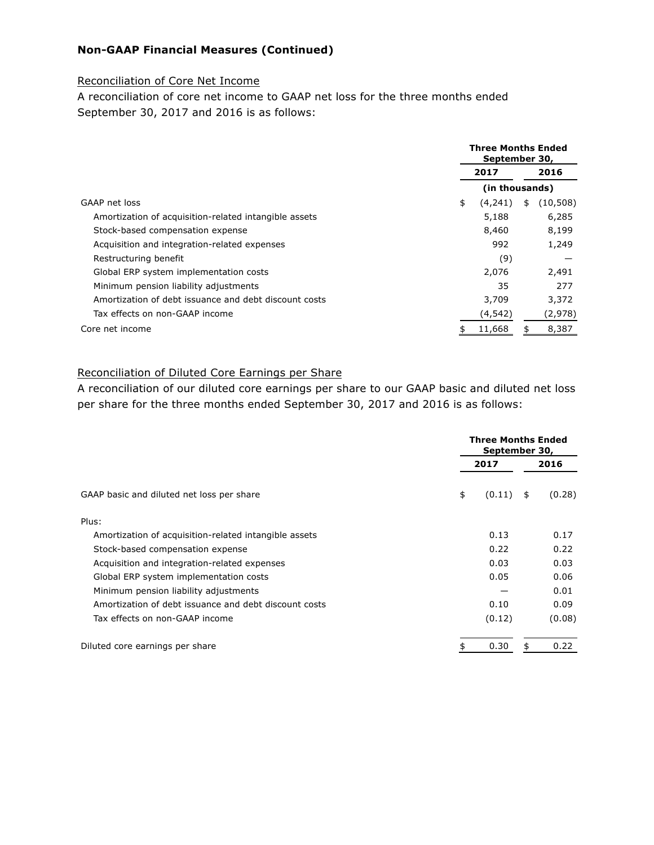## **Non-GAAP Financial Measures (Continued)**

### Reconciliation of Core Net Income

A reconciliation of core net income to GAAP net loss for the three months ended September 30, 2017 and 2016 is as follows:

|                                                       |      | <b>Three Months Ended</b><br>September 30, |      |           |
|-------------------------------------------------------|------|--------------------------------------------|------|-----------|
|                                                       | 2017 |                                            | 2016 |           |
|                                                       |      | (in thousands)                             |      |           |
| GAAP net loss                                         | \$   | (4,241)                                    | \$   | (10, 508) |
| Amortization of acquisition-related intangible assets |      | 5,188                                      |      | 6,285     |
| Stock-based compensation expense                      |      | 8,460                                      |      | 8,199     |
| Acquisition and integration-related expenses          |      | 992                                        |      | 1,249     |
| Restructuring benefit                                 |      | (9)                                        |      |           |
| Global ERP system implementation costs                |      | 2,076                                      |      | 2,491     |
| Minimum pension liability adjustments                 |      | 35                                         |      | 277       |
| Amortization of debt issuance and debt discount costs |      | 3,709                                      |      | 3,372     |
| Tax effects on non-GAAP income                        |      | (4,542)                                    |      | (2,978)   |
| Core net income                                       |      | 11,668                                     |      | 8,387     |

### Reconciliation of Diluted Core Earnings per Share

A reconciliation of our diluted core earnings per share to our GAAP basic and diluted net loss per share for the three months ended September 30, 2017 and 2016 is as follows:

|                                                       | <b>Three Months Ended</b><br>September 30, |    |        |  |
|-------------------------------------------------------|--------------------------------------------|----|--------|--|
|                                                       | 2017                                       |    | 2016   |  |
| GAAP basic and diluted net loss per share             | \$<br>(0.11)                               | \$ | (0.28) |  |
| Plus:                                                 |                                            |    |        |  |
| Amortization of acquisition-related intangible assets | 0.13                                       |    | 0.17   |  |
| Stock-based compensation expense                      | 0.22                                       |    | 0.22   |  |
| Acquisition and integration-related expenses          | 0.03                                       |    | 0.03   |  |
| Global ERP system implementation costs                | 0.05                                       |    | 0.06   |  |
| Minimum pension liability adjustments                 |                                            |    | 0.01   |  |
| Amortization of debt issuance and debt discount costs | 0.10                                       |    | 0.09   |  |
| Tax effects on non-GAAP income                        | (0.12)                                     |    | (0.08) |  |
| Diluted core earnings per share                       | 0.30                                       |    | 0.22   |  |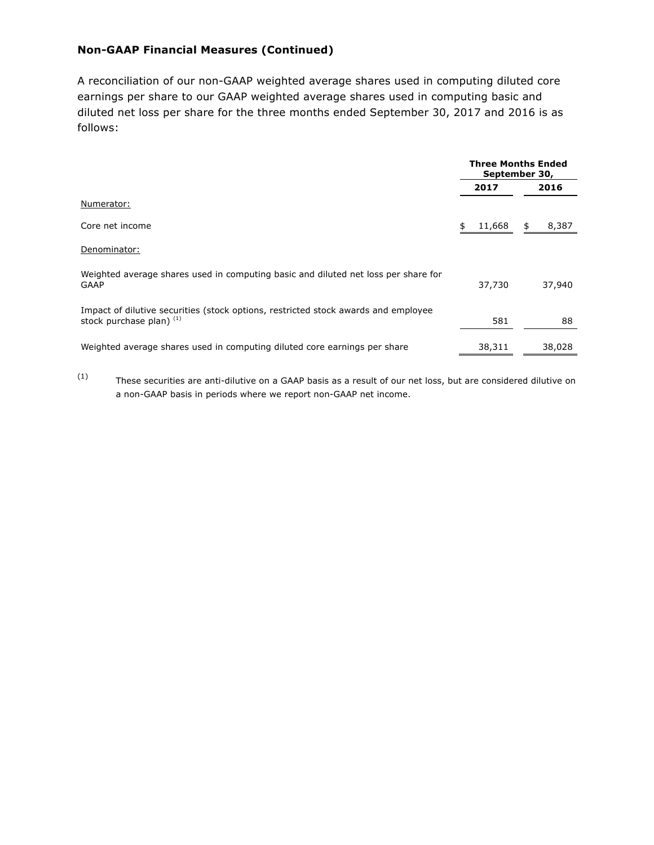## **Non-GAAP Financial Measures (Continued)**

A reconciliation of our non-GAAP weighted average shares used in computing diluted core earnings per share to our GAAP weighted average shares used in computing basic and diluted net loss per share for the three months ended September 30, 2017 and 2016 is as follows:

|                                                                                                                | <b>Three Months Ended</b><br>September 30, |        |    |        |
|----------------------------------------------------------------------------------------------------------------|--------------------------------------------|--------|----|--------|
|                                                                                                                |                                            | 2017   |    | 2016   |
| Numerator:                                                                                                     |                                            |        |    |        |
| Core net income                                                                                                | \$                                         | 11,668 | \$ | 8,387  |
| Denominator:                                                                                                   |                                            |        |    |        |
| Weighted average shares used in computing basic and diluted net loss per share for<br><b>GAAP</b>              |                                            | 37,730 |    | 37,940 |
| Impact of dilutive securities (stock options, restricted stock awards and employee<br>stock purchase plan) (1) |                                            | 581    |    | 88     |
| Weighted average shares used in computing diluted core earnings per share                                      |                                            | 38,311 |    | 38,028 |

 $(1)$  These securities are anti-dilutive on a GAAP basis as a result of our net loss, but are considered dilutive on a non-GAAP basis in periods where we report non-GAAP net income.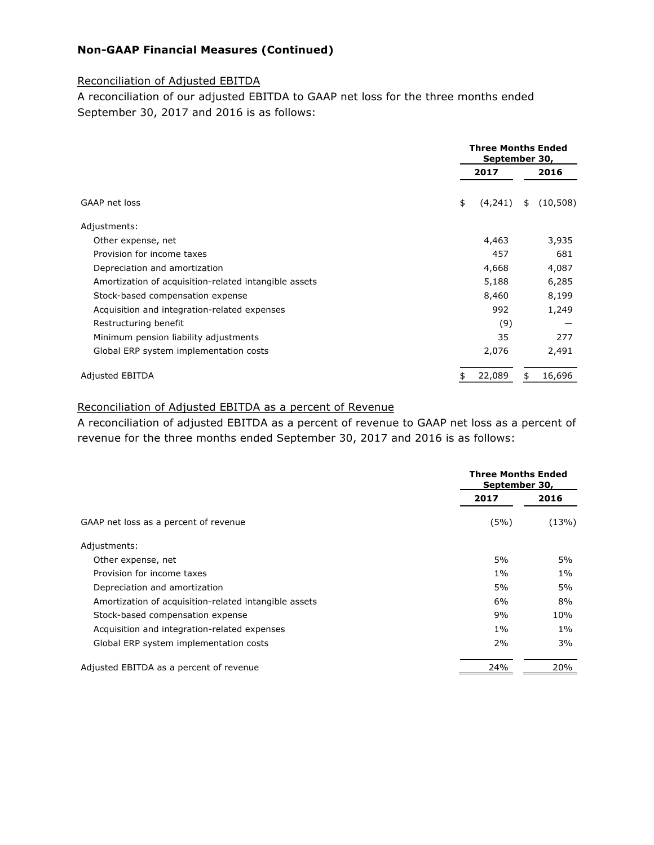## **Non-GAAP Financial Measures (Continued)**

#### Reconciliation of Adjusted EBITDA

A reconciliation of our adjusted EBITDA to GAAP net loss for the three months ended September 30, 2017 and 2016 is as follows:

|                                                       |      | <b>Three Months Ended</b><br>September 30, |  |  |
|-------------------------------------------------------|------|--------------------------------------------|--|--|
|                                                       | 2017 | 2016                                       |  |  |
| GAAP net loss                                         | \$   | (4,241)<br>(10, 508)<br>\$                 |  |  |
| Adjustments:                                          |      |                                            |  |  |
| Other expense, net                                    |      | 4,463<br>3,935                             |  |  |
| Provision for income taxes                            |      | 457<br>681                                 |  |  |
| Depreciation and amortization                         |      | 4,668<br>4,087                             |  |  |
| Amortization of acquisition-related intangible assets |      | 6,285<br>5,188                             |  |  |
| Stock-based compensation expense                      |      | 8,460<br>8,199                             |  |  |
| Acquisition and integration-related expenses          |      | 992<br>1,249                               |  |  |
| Restructuring benefit                                 |      | (9)                                        |  |  |
| Minimum pension liability adjustments                 |      | 277<br>35                                  |  |  |
| Global ERP system implementation costs                |      | 2,076<br>2,491                             |  |  |
| <b>Adjusted EBITDA</b>                                |      | 22,089<br>16,696<br>\$                     |  |  |

## Reconciliation of Adjusted EBITDA as a percent of Revenue

A reconciliation of adjusted EBITDA as a percent of revenue to GAAP net loss as a percent of revenue for the three months ended September 30, 2017 and 2016 is as follows:

|                                                       | <b>Three Months Ended</b><br>September 30, |       |  |
|-------------------------------------------------------|--------------------------------------------|-------|--|
|                                                       | 2017                                       | 2016  |  |
| GAAP net loss as a percent of revenue                 | (5%)                                       | (13%) |  |
| Adjustments:                                          |                                            |       |  |
| Other expense, net                                    | 5%                                         | 5%    |  |
| Provision for income taxes                            | $1\%$                                      | $1\%$ |  |
| Depreciation and amortization                         | 5%                                         | 5%    |  |
| Amortization of acquisition-related intangible assets | 6%                                         | 8%    |  |
| Stock-based compensation expense                      | 9%                                         | 10%   |  |
| Acquisition and integration-related expenses          | $1\%$                                      | $1\%$ |  |
| Global ERP system implementation costs                | 2%                                         | 3%    |  |
| Adjusted EBITDA as a percent of revenue               | 24%                                        | 20%   |  |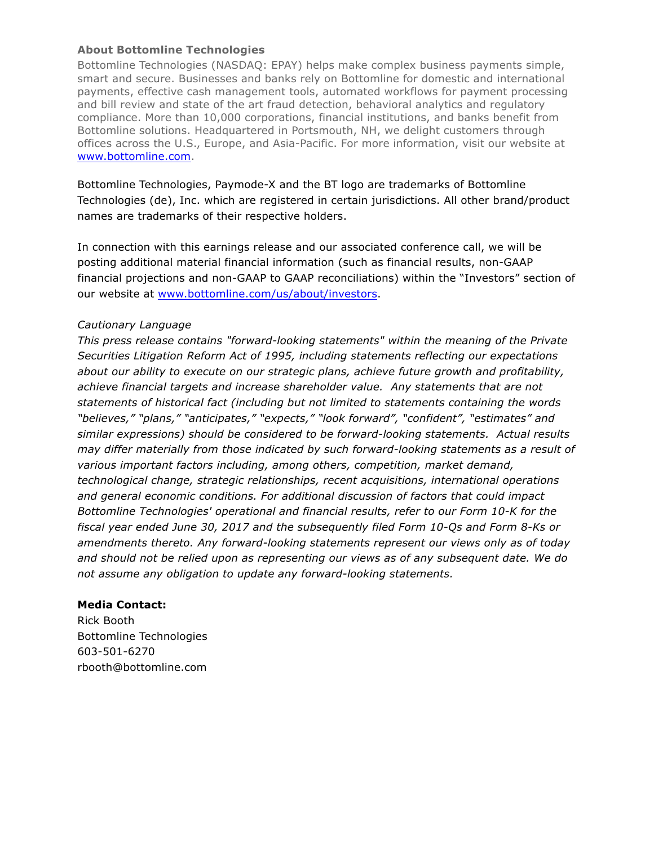### **About Bottomline Technologies**

Bottomline Technologies (NASDAQ: EPAY) helps make complex business payments simple, smart and secure. Businesses and banks rely on Bottomline for domestic and international payments, effective cash management tools, automated workflows for payment processing and bill review and state of the art fraud detection, behavioral analytics and regulatory compliance. More than 10,000 corporations, financial institutions, and banks benefit from Bottomline solutions. Headquartered in Portsmouth, NH, we delight customers through offices across the U.S., Europe, and Asia-Pacific. For more information, visit our website at www.bottomline.com.

Bottomline Technologies, Paymode-X and the BT logo are trademarks of Bottomline Technologies (de), Inc. which are registered in certain jurisdictions. All other brand/product names are trademarks of their respective holders.

In connection with this earnings release and our associated conference call, we will be posting additional material financial information (such as financial results, non-GAAP financial projections and non-GAAP to GAAP reconciliations) within the "Investors" section of our website at www.bottomline.com/us/about/investors.

### *Cautionary Language*

*This press release contains "forward-looking statements" within the meaning of the Private Securities Litigation Reform Act of 1995, including statements reflecting our expectations about our ability to execute on our strategic plans, achieve future growth and profitability, achieve financial targets and increase shareholder value. Any statements that are not statements of historical fact (including but not limited to statements containing the words "believes," "plans," "anticipates," "expects," "look forward", "confident", "estimates" and similar expressions) should be considered to be forward-looking statements. Actual results may differ materially from those indicated by such forward-looking statements as a result of various important factors including, among others, competition, market demand, technological change, strategic relationships, recent acquisitions, international operations and general economic conditions. For additional discussion of factors that could impact Bottomline Technologies' operational and financial results, refer to our Form 10-K for the fiscal year ended June 30, 2017 and the subsequently filed Form 10-Qs and Form 8-Ks or amendments thereto. Any forward-looking statements represent our views only as of today and should not be relied upon as representing our views as of any subsequent date. We do not assume any obligation to update any forward-looking statements.*

### **Media Contact:**

Rick Booth Bottomline Technologies 603-501-6270 rbooth@bottomline.com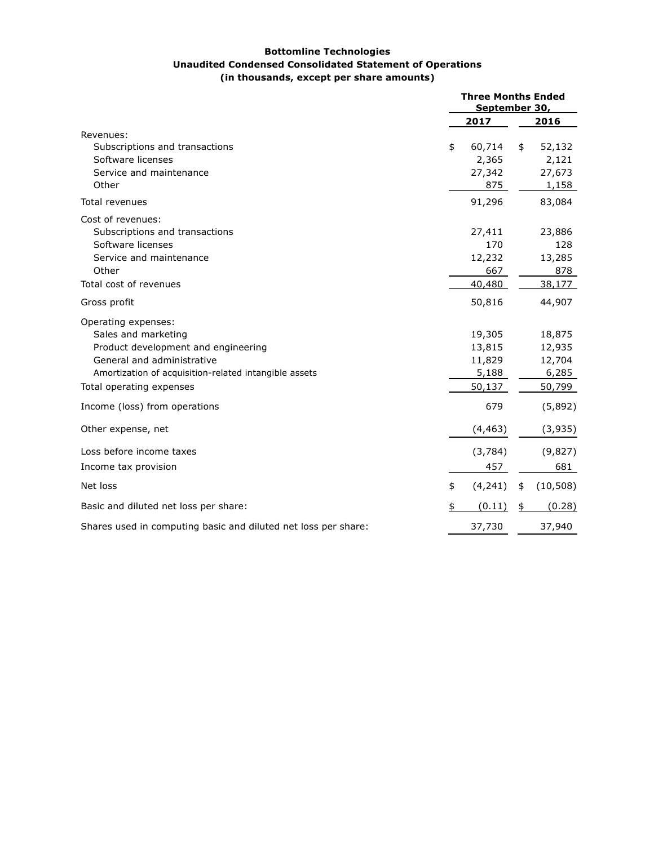#### **Bottomline Technologies Unaudited Condensed Consolidated Statement of Operations (in thousands, except per share amounts)**

|                                                                                                                                                                                                      | <b>Three Months Ended</b><br>September 30, |                                               |    |                                               |
|------------------------------------------------------------------------------------------------------------------------------------------------------------------------------------------------------|--------------------------------------------|-----------------------------------------------|----|-----------------------------------------------|
|                                                                                                                                                                                                      |                                            | 2017                                          |    | 2016                                          |
| Revenues:<br>Subscriptions and transactions<br>Software licenses<br>Service and maintenance<br>Other                                                                                                 | \$                                         | 60,714<br>2,365<br>27,342<br>875              | \$ | 52,132<br>2,121<br>27,673<br>1,158            |
| <b>Total revenues</b>                                                                                                                                                                                |                                            | 91,296                                        |    | 83,084                                        |
| Cost of revenues:<br>Subscriptions and transactions<br>Software licenses<br>Service and maintenance<br>Other                                                                                         |                                            | 27,411<br>170<br>12,232<br>667                |    | 23,886<br>128<br>13,285<br>878                |
| Total cost of revenues                                                                                                                                                                               |                                            | 40,480                                        |    | 38,177                                        |
| Gross profit                                                                                                                                                                                         |                                            | 50,816                                        |    | 44,907                                        |
| Operating expenses:<br>Sales and marketing<br>Product development and engineering<br>General and administrative<br>Amortization of acquisition-related intangible assets<br>Total operating expenses |                                            | 19,305<br>13,815<br>11,829<br>5,188<br>50,137 |    | 18,875<br>12,935<br>12,704<br>6,285<br>50,799 |
| Income (loss) from operations                                                                                                                                                                        |                                            | 679                                           |    | (5,892)                                       |
| Other expense, net                                                                                                                                                                                   |                                            | (4, 463)                                      |    | (3,935)                                       |
| Loss before income taxes                                                                                                                                                                             |                                            | (3,784)                                       |    | (9,827)                                       |
| Income tax provision                                                                                                                                                                                 |                                            | 457                                           |    | 681                                           |
| Net loss                                                                                                                                                                                             | \$                                         | (4, 241)                                      | \$ | (10, 508)                                     |
| Basic and diluted net loss per share:                                                                                                                                                                |                                            | (0.11)                                        | \$ | (0.28)                                        |
| Shares used in computing basic and diluted net loss per share:                                                                                                                                       |                                            | 37,730                                        |    | 37,940                                        |